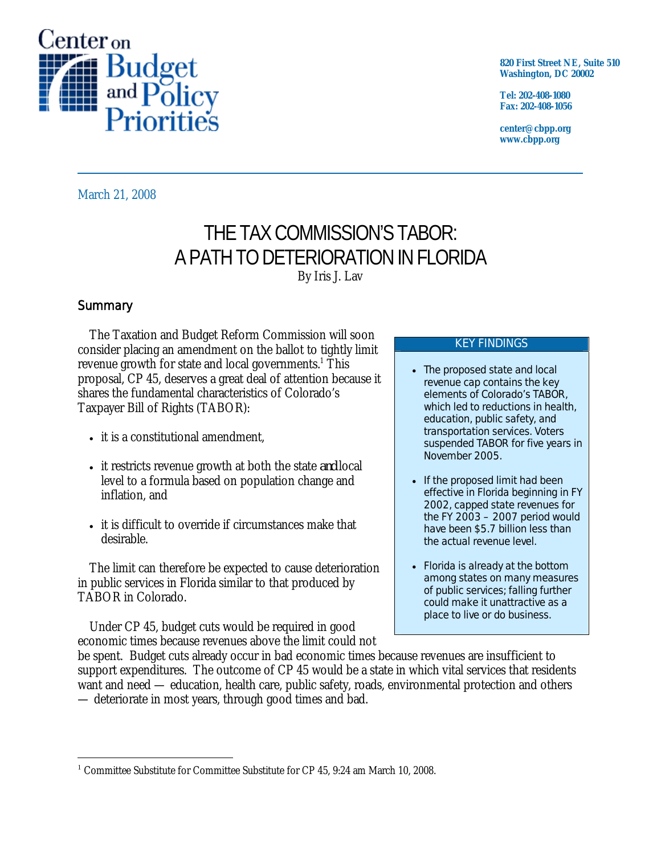

**820 First Street NE, Suite 510 Washington, DC 20002** 

**Tel: 202-408-1080 Fax: 202-408-1056** 

**center@cbpp.org www.cbpp.org** 

March 21, 2008

# THE TAX COMMISSION'S TABOR: A PATH TO DETERIORATION IN FLORIDA By Iris J. Lav

## **Summary**

-

The Taxation and Budget Reform Commission will soon consider placing an amendment on the ballot to tightly limit revenue growth for state and local governments.<sup>1</sup> This proposal, CP 45, deserves a great deal of attention because it shares the fundamental characteristics of Colorado's Taxpayer Bill of Rights (TABOR):

- it is a constitutional amendment.
- it restricts revenue growth at both the state *and* local level to a formula based on population change and inflation, and
- it is difficult to override if circumstances make that desirable.

The limit can therefore be expected to cause deterioration in public services in Florida similar to that produced by TABOR in Colorado.

Under CP 45, budget cuts would be required in good economic times because revenues above the limit could not

#### KEY FINDINGS

- The proposed state and local revenue cap contains the key elements of Colorado's TABOR, which led to reductions in health, education, public safety, and transportation services. Voters suspended TABOR for five years in November 2005.
- If the proposed limit had been effective in Florida beginning in FY 2002, capped state revenues for the FY 2003 – 2007 period would have been \$5.7 billion less than the actual revenue level.
- Florida is already at the bottom among states on many measures of public services; falling further could make it unattractive as a place to live or do business.

be spent. Budget cuts already occur in bad economic times because revenues are insufficient to support expenditures. The outcome of CP 45 would be a state in which vital services that residents want and need — education, health care, public safety, roads, environmental protection and others — deteriorate in most years, through good times and bad.

<sup>&</sup>lt;sup>1</sup> Committee Substitute for Committee Substitute for CP 45, 9:24 am March 10, 2008.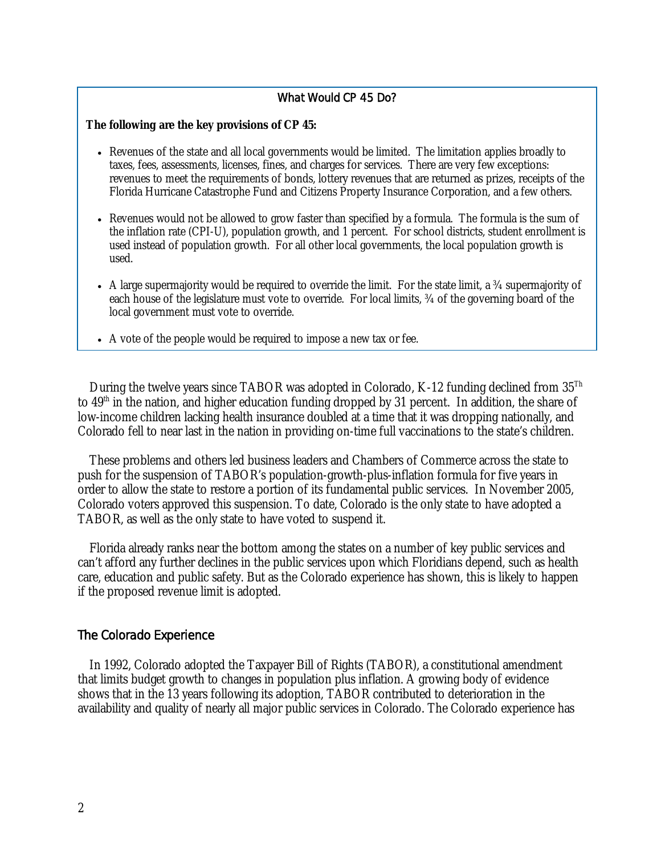#### What Would CP 45 Do?

#### **The following are the key provisions of CP 45:**

- Revenues of the state and all local governments would be limited. The limitation applies broadly to taxes, fees, assessments, licenses, fines, and charges for services. There are very few exceptions: revenues to meet the requirements of bonds, lottery revenues that are returned as prizes, receipts of the Florida Hurricane Catastrophe Fund and Citizens Property Insurance Corporation, and a few others.
- Revenues would not be allowed to grow faster than specified by a formula. The formula is the sum of the inflation rate (CPI-U), population growth, and 1 percent. For school districts, student enrollment is used instead of population growth. For all other local governments, the local population growth is used.
- A large supermajority would be required to override the limit. For the state limit, a  $\frac{3}{4}$  supermajority of each house of the legislature must vote to override. For local limits, ¾ of the governing board of the local government must vote to override.
- A vote of the people would be required to impose a new tax or fee.

During the twelve years since TABOR was adopted in Colorado, K-12 funding declined from  $35^{Th}$ to  $49<sup>th</sup>$  in the nation, and higher education funding dropped by 31 percent. In addition, the share of low-income children lacking health insurance doubled at a time that it was dropping nationally, and Colorado fell to near last in the nation in providing on-time full vaccinations to the state's children.

These problems and others led business leaders and Chambers of Commerce across the state to push for the suspension of TABOR's population-growth-plus-inflation formula for five years in order to allow the state to restore a portion of its fundamental public services. In November 2005, Colorado voters approved this suspension. To date, Colorado is the only state to have adopted a TABOR, as well as the only state to have voted to suspend it.

Florida already ranks near the bottom among the states on a number of key public services and can't afford any further declines in the public services upon which Floridians depend, such as health care, education and public safety. But as the Colorado experience has shown, this is likely to happen if the proposed revenue limit is adopted.

#### The Colorado Experience

In 1992, Colorado adopted the Taxpayer Bill of Rights (TABOR), a constitutional amendment that limits budget growth to changes in population plus inflation. A growing body of evidence shows that in the 13 years following its adoption, TABOR contributed to deterioration in the availability and quality of nearly all major public services in Colorado. The Colorado experience has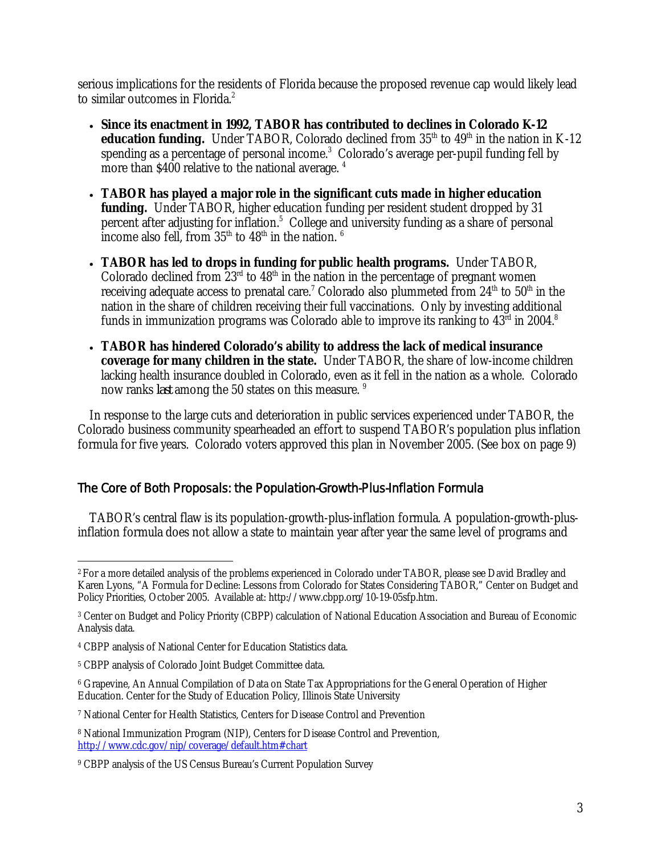serious implications for the residents of Florida because the proposed revenue cap would likely lead to similar outcomes in Florida.<sup>2</sup>

- **Since its enactment in 1992, TABOR has contributed to declines in Colorado K-12 education funding.** Under TABOR, Colorado declined from 35<sup>th</sup> to 49<sup>th</sup> in the nation in K-12 spending as a percentage of personal income. $3$  Colorado's average per-pupil funding fell by more than \$400 relative to the national average.<sup>4</sup>
- **TABOR has played a major role in the significant cuts made in higher education funding.** Under TABOR, higher education funding per resident student dropped by 31 percent after adjusting for inflation.<sup>5</sup> College and university funding as a share of personal income also fell, from  $35<sup>th</sup>$  to  $48<sup>th</sup>$  in the nation.  $6$
- **TABOR has led to drops in funding for public health programs.** Under TABOR, Colorado declined from  $23<sup>rd</sup>$  to  $48<sup>th</sup>$  in the nation in the percentage of pregnant women receiving adequate access to prenatal care.<sup>7</sup> Colorado also plummeted from 24<sup>th</sup> to 50<sup>th</sup> in the nation in the share of children receiving their full vaccinations. Only by investing additional funds in immunization programs was Colorado able to improve its ranking to  $43^{\rm rd}$  in 2004. $^8$
- **TABOR has hindered Colorado's ability to address the lack of medical insurance coverage for many children in the state.** Under TABOR, the share of low-income children lacking health insurance doubled in Colorado, even as it fell in the nation as a whole. Colorado now ranks *last* among the 50 states on this measure.<sup>9</sup>

 In response to the large cuts and deterioration in public services experienced under TABOR, the Colorado business community spearheaded an effort to suspend TABOR's population plus inflation formula for five years. Colorado voters approved this plan in November 2005. (See box on page 9)

## The Core of Both Proposals: the Population-Growth-Plus-Inflation Formula

TABOR's central flaw is its population-growth-plus-inflation formula. A population-growth-plusinflation formula does not allow a state to maintain year after year the same level of programs and

<sup>-</sup>2 For a more detailed analysis of the problems experienced in Colorado under TABOR, please see David Bradley and Karen Lyons, "A Formula for Decline: Lessons from Colorado for States Considering TABOR," Center on Budget and Policy Priorities, October 2005. Available at: http://www.cbpp.org/10-19-05sfp.htm.

<sup>3</sup> Center on Budget and Policy Priority (CBPP) calculation of National Education Association and Bureau of Economic Analysis data.

<sup>4</sup> CBPP analysis of National Center for Education Statistics data.

<sup>5</sup> CBPP analysis of Colorado Joint Budget Committee data.

<sup>6</sup> Grapevine, An Annual Compilation of Data on State Tax Appropriations for the General Operation of Higher Education. Center for the Study of Education Policy, Illinois State University

<sup>7</sup> National Center for Health Statistics, Centers for Disease Control and Prevention

<sup>8</sup> National Immunization Program (NIP), Centers for Disease Control and Prevention, http://www.cdc.gov/nip/coverage/default.htm#chart

<sup>9</sup> CBPP analysis of the US Census Bureau's Current Population Survey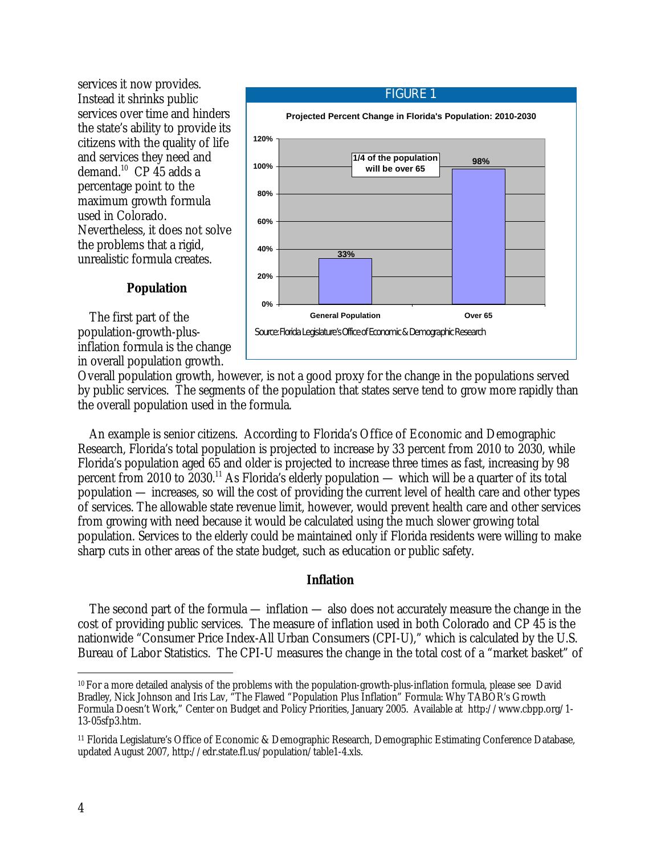services it now provides. Instead it shrinks public services over time and hinders the state's ability to provide its citizens with the quality of life and services they need and demand.<sup>10</sup> CP 45 adds a percentage point to the maximum growth formula used in Colorado. Nevertheless, it does not solve the problems that a rigid, unrealistic formula creates.

## FIGURE 1 **Projected Percent Change in Florida's Population: 2010-2030 0% 20% 40% 60% 80% 100% 120%** General Population **COVER 1999** Over 65 **1/4 of the population will be over 65 98% 33%** Source: Florida Legislature's Office of Economic & Demographic Research  $\overline{a}$

## **Population**

The first part of the population-growth-plusinflation formula is the change in overall population growth.

Overall population growth, however, is not a good proxy for the change in the populations served by public services. The segments of the population that states serve tend to grow more rapidly than the overall population used in the formula.

An example is senior citizens. According to Florida's Office of Economic and Demographic Research, Florida's total population is projected to increase by 33 percent from 2010 to 2030, while Florida's population aged 65 and older is projected to increase three times as fast, increasing by 98 percent from 2010 to  $\frac{2030^{11}}{\text{As}}$  Florida's elderly population — which will be a quarter of its total population — increases, so will the cost of providing the current level of health care and other types of services. The allowable state revenue limit, however, would prevent health care and other services from growing with need because it would be calculated using the much slower growing total population. Services to the elderly could be maintained only if Florida residents were willing to make sharp cuts in other areas of the state budget, such as education or public safety.

#### **Inflation**

The second part of the formula — inflation — also does not accurately measure the change in the cost of providing public services. The measure of inflation used in both Colorado and CP 45 is the nationwide "Consumer Price Index-All Urban Consumers (CPI-U)," which is calculated by the U.S. Bureau of Labor Statistics. The CPI-U measures the change in the total cost of a "market basket" of

<sup>-</sup>10 For a more detailed analysis of the problems with the population-growth-plus-inflation formula, please see David Bradley, Nick Johnson and Iris Lav, "The Flawed "Population Plus Inflation" Formula: Why TABOR's Growth Formula Doesn't Work," Center on Budget and Policy Priorities, January 2005. Available at http://www.cbpp.org/1- 13-05sfp3.htm.

<sup>11</sup> Florida Legislature's Office of Economic & Demographic Research, Demographic Estimating Conference Database, updated August 2007, http://edr.state.fl.us/population/table1-4.xls.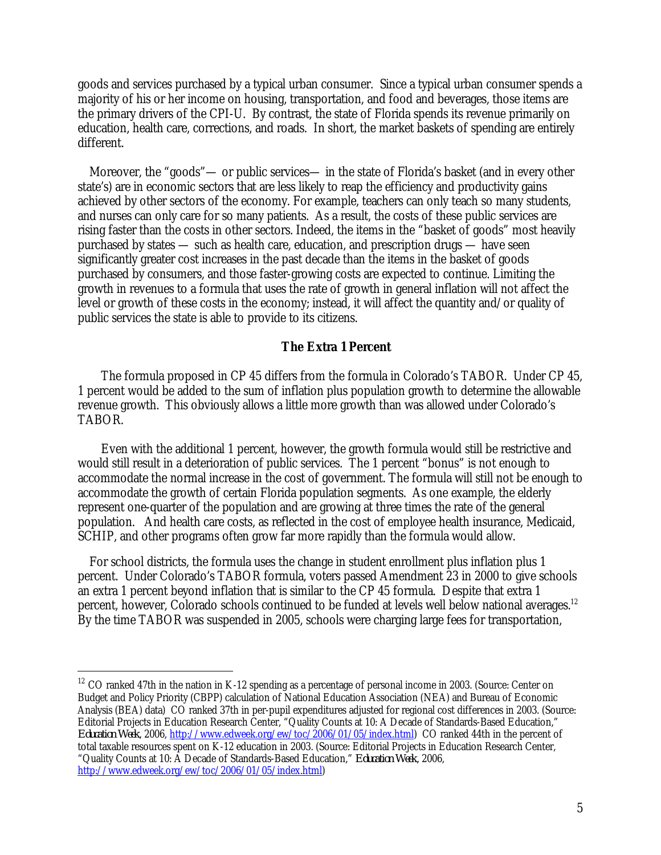goods and services purchased by a typical urban consumer. Since a typical urban consumer spends a majority of his or her income on housing, transportation, and food and beverages, those items are the primary drivers of the CPI-U. By contrast, the state of Florida spends its revenue primarily on education, health care, corrections, and roads. In short, the market baskets of spending are entirely different.

Moreover, the "goods"— or public services— in the state of Florida's basket (and in every other state's) are in economic sectors that are less likely to reap the efficiency and productivity gains achieved by other sectors of the economy. For example, teachers can only teach so many students, and nurses can only care for so many patients. As a result, the costs of these public services are rising faster than the costs in other sectors. Indeed, the items in the "basket of goods" most heavily purchased by states — such as health care, education, and prescription drugs — have seen significantly greater cost increases in the past decade than the items in the basket of goods purchased by consumers, and those faster-growing costs are expected to continue. Limiting the growth in revenues to a formula that uses the rate of growth in general inflation will not affect the level or growth of these costs in the economy; instead, it will affect the quantity and/or quality of public services the state is able to provide to its citizens.

#### **The Extra 1 Percent**

 The formula proposed in CP 45 differs from the formula in Colorado's TABOR. Under CP 45, 1 percent would be added to the sum of inflation plus population growth to determine the allowable revenue growth. This obviously allows a little more growth than was allowed under Colorado's TABOR.

 Even with the additional 1 percent, however, the growth formula would still be restrictive and would still result in a deterioration of public services. The 1 percent "bonus" is not enough to accommodate the normal increase in the cost of government. The formula will still not be enough to accommodate the growth of certain Florida population segments. As one example, the elderly represent one-quarter of the population and are growing at three times the rate of the general population. And health care costs, as reflected in the cost of employee health insurance, Medicaid, SCHIP, and other programs often grow far more rapidly than the formula would allow.

For school districts, the formula uses the change in student enrollment plus inflation plus 1 percent. Under Colorado's TABOR formula, voters passed Amendment 23 in 2000 to give schools an extra 1 percent beyond inflation that is similar to the CP 45 formula. Despite that extra 1 percent, however, Colorado schools continued to be funded at levels well below national averages.<sup>12</sup> By the time TABOR was suspended in 2005, schools were charging large fees for transportation,

-

<sup>&</sup>lt;sup>12</sup> CO ranked 47th in the nation in K-12 spending as a percentage of personal income in 2003. (Source: Center on Budget and Policy Priority (CBPP) calculation of National Education Association (NEA) and Bureau of Economic Analysis (BEA) data) CO ranked 37th in per-pupil expenditures adjusted for regional cost differences in 2003. (Source: Editorial Projects in Education Research Center, "Quality Counts at 10: A Decade of Standards-Based Education," *Education Week*, 2006, http://www.edweek.org/ew/toc/2006/01/05/index.html) CO ranked 44th in the percent of total taxable resources spent on K-12 education in 2003. (Source: Editorial Projects in Education Research Center, "Quality Counts at 10: A Decade of Standards-Based Education," *Education Week*, 2006,

http://www.edweek.org/ew/toc/2006/01/05/index.html)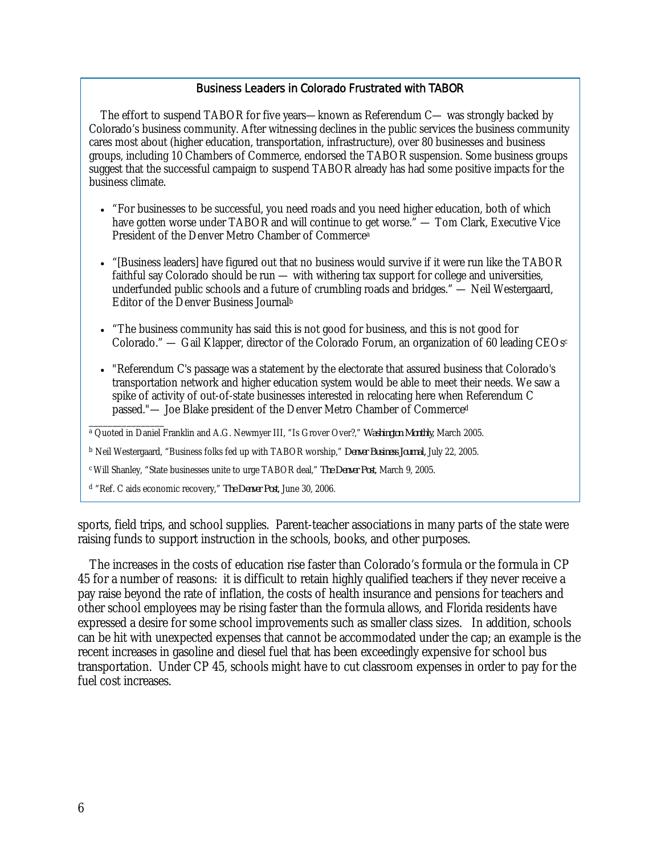#### Business Leaders in Colorado Frustrated with TABOR

The effort to suspend TABOR for five years—known as Referendum C— was strongly backed by Colorado's business community. After witnessing declines in the public services the business community cares most about (higher education, transportation, infrastructure), over 80 businesses and business groups, including 10 Chambers of Commerce, endorsed the TABOR suspension. Some business groups suggest that the successful campaign to suspend TABOR already has had some positive impacts for the business climate.

- "For businesses to be successful, you need roads and you need higher education, both of which have gotten worse under TABOR and will continue to get worse." — Tom Clark, Executive Vice President of the Denver Metro Chamber of Commercea
- "[Business leaders] have figured out that no business would survive if it were run like the TABOR faithful say Colorado should be run — with withering tax support for college and universities, underfunded public schools and a future of crumbling roads and bridges." — Neil Westergaard, Editor of the Denver Business Journalb
- "The business community has said this is not good for business, and this is not good for Colorado." — Gail Klapper, director of the Colorado Forum, an organization of 60 leading CEOs<sup>c</sup>
- "Referendum C's passage was a statement by the electorate that assured business that Colorado's transportation network and higher education system would be able to meet their needs. We saw a spike of activity of out-of-state businesses interested in relocating here when Referendum C passed."— Joe Blake president of the Denver Metro Chamber of Commerced
- \_\_\_\_\_\_\_\_\_\_\_\_\_\_\_\_ <sup>a</sup> Quoted in Daniel Franklin and A.G. Newmyer III, "Is Grover Over?," *Washington Monthly*, March 2005.

<sup>b</sup> Neil Westergaard, "Business folks fed up with TABOR worship," *Denver Business Journal,* July 22, 2005.

c Will Shanley, "State businesses unite to urge TABOR deal," *The Denver Post*, March 9, 2005.

<sup>d</sup> "Ref. C aids economic recovery," *The Denver Post*, June 30, 2006.

sports, field trips, and school supplies. Parent-teacher associations in many parts of the state were raising funds to support instruction in the schools, books, and other purposes.

The increases in the costs of education rise faster than Colorado's formula or the formula in CP 45 for a number of reasons: it is difficult to retain highly qualified teachers if they never receive a pay raise beyond the rate of inflation, the costs of health insurance and pensions for teachers and other school employees may be rising faster than the formula allows, and Florida residents have expressed a desire for some school improvements such as smaller class sizes. In addition, schools can be hit with unexpected expenses that cannot be accommodated under the cap; an example is the recent increases in gasoline and diesel fuel that has been exceedingly expensive for school bus transportation. Under CP 45, schools might have to cut classroom expenses in order to pay for the fuel cost increases.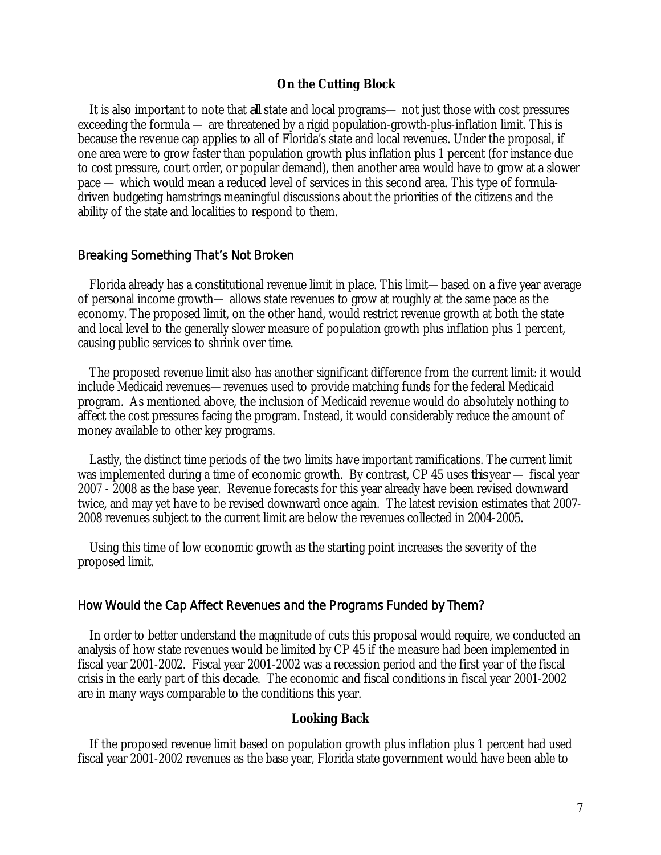#### **On the Cutting Block**

It is also important to note that *all* state and local programs— not just those with cost pressures exceeding the formula — are threatened by a rigid population-growth-plus-inflation limit. This is because the revenue cap applies to all of Florida's state and local revenues. Under the proposal, if one area were to grow faster than population growth plus inflation plus 1 percent (for instance due to cost pressure, court order, or popular demand), then another area would have to grow at a slower pace — which would mean a reduced level of services in this second area. This type of formuladriven budgeting hamstrings meaningful discussions about the priorities of the citizens and the ability of the state and localities to respond to them.

#### Breaking Something That's Not Broken

 Florida already has a constitutional revenue limit in place. This limit—based on a five year average of personal income growth— allows state revenues to grow at roughly at the same pace as the economy. The proposed limit, on the other hand, would restrict revenue growth at both the state and local level to the generally slower measure of population growth plus inflation plus 1 percent, causing public services to shrink over time.

 The proposed revenue limit also has another significant difference from the current limit: it would include Medicaid revenues—revenues used to provide matching funds for the federal Medicaid program. As mentioned above, the inclusion of Medicaid revenue would do absolutely nothing to affect the cost pressures facing the program. Instead, it would considerably reduce the amount of money available to other key programs.

 Lastly, the distinct time periods of the two limits have important ramifications. The current limit was implemented during a time of economic growth. By contrast, CP 45 uses *this* year — fiscal year 2007 - 2008 as the base year. Revenue forecasts for this year already have been revised downward twice, and may yet have to be revised downward once again. The latest revision estimates that 2007- 2008 revenues subject to the current limit are below the revenues collected in 2004-2005.

Using this time of low economic growth as the starting point increases the severity of the proposed limit.

#### How Would the Cap Affect Revenues and the Programs Funded by Them?

 In order to better understand the magnitude of cuts this proposal would require, we conducted an analysis of how state revenues would be limited by CP 45 if the measure had been implemented in fiscal year 2001-2002. Fiscal year 2001-2002 was a recession period and the first year of the fiscal crisis in the early part of this decade. The economic and fiscal conditions in fiscal year 2001-2002 are in many ways comparable to the conditions this year.

#### **Looking Back**

 If the proposed revenue limit based on population growth plus inflation plus 1 percent had used fiscal year 2001-2002 revenues as the base year, Florida state government would have been able to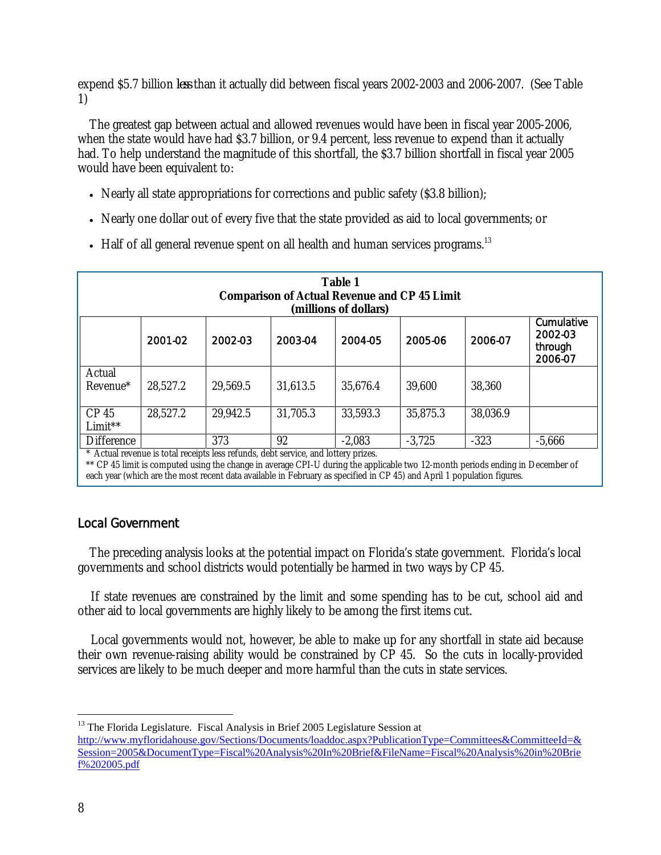expend \$5.7 billion *less* than it actually did between fiscal years 2002-2003 and 2006-2007. (See Table 1)

The greatest gap between actual and allowed revenues would have been in fiscal year 2005-2006, when the state would have had \$3.7 billion, or 9.4 percent, less revenue to expend than it actually had. To help understand the magnitude of this shortfall, the \$3.7 billion shortfall in fiscal year 2005 would have been equivalent to:

- Nearly all state appropriations for corrections and public safety (\$3.8 billion);
- Nearly one dollar out of every five that the state provided as aid to local governments; or
- Half of all general revenue spent on all health and human services programs.<sup>13</sup>

| <b>Table 1</b><br><b>Comparison of Actual Revenue and CP 45 Limit</b><br>(millions of dollars) |          |                                                                                                 |          |          |          |          |                                             |
|------------------------------------------------------------------------------------------------|----------|-------------------------------------------------------------------------------------------------|----------|----------|----------|----------|---------------------------------------------|
|                                                                                                | 2001-02  | 2002-03                                                                                         | 2003-04  | 2004-05  | 2005-06  | 2006-07  | Cumulative<br>2002-03<br>through<br>2006-07 |
| Actual<br>Revenue <sup>*</sup>                                                                 | 28,527.2 | 29,569.5                                                                                        | 31,613.5 | 35,676.4 | 39,600   | 38,360   |                                             |
| CP <sub>45</sub><br>Limit**                                                                    | 28,527.2 | 29,942.5                                                                                        | 31,705.3 | 33,593.3 | 35,875.3 | 38,036.9 |                                             |
| Difference                                                                                     |          | 373<br>$\star$ A otual revenue is total receipts less refunds, debt service, and lettery prizes | 92       | $-2,083$ | $-3,725$ | $-323$   | $-5,666$                                    |

Actual revenue is total receipts less refunds, debt service, and lottery prizes.

\*\* CP 45 limit is computed using the change in average CPI-U during the applicable two 12-month periods ending in December of each year (which are the most recent data available in February as specified in CP 45) and April 1 population figures.

## Local Government

The preceding analysis looks at the potential impact on Florida's state government. Florida's local governments and school districts would potentially be harmed in two ways by CP 45.

If state revenues are constrained by the limit and some spending has to be cut, school aid and other aid to local governments are highly likely to be among the first items cut.

Local governments would not, however, be able to make up for any shortfall in state aid because their own revenue-raising ability would be constrained by CP 45. So the cuts in locally-provided services are likely to be much deeper and more harmful than the cuts in state services.

 $\overline{a}$ 

<sup>&</sup>lt;sup>13</sup> The Florida Legislature. Fiscal Analysis in Brief 2005 Legislature Session at http://www.myfloridahouse.gov/Sections/Documents/loaddoc.aspx?PublicationType=Committees&CommitteeId=& Session=2005&DocumentType=Fiscal%20Analysis%20In%20Brief&FileName=Fiscal%20Analysis%20in%20Brie f%202005.pdf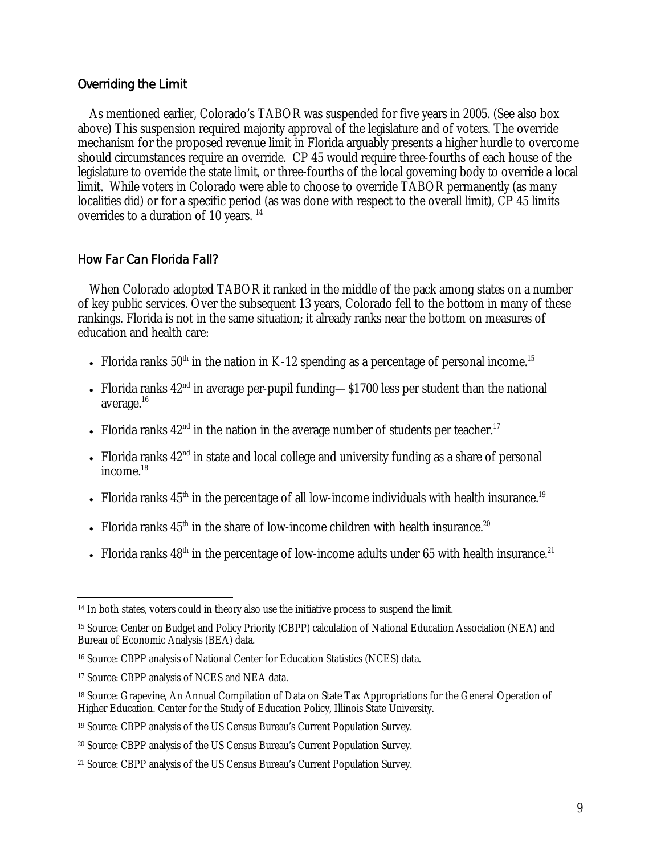### Overriding the Limit

 As mentioned earlier, Colorado's TABOR was suspended for five years in 2005. (See also box above) This suspension required majority approval of the legislature and of voters. The override mechanism for the proposed revenue limit in Florida arguably presents a higher hurdle to overcome should circumstances require an override. CP 45 would require three-fourths of each house of the legislature to override the state limit, or three-fourths of the local governing body to override a local limit. While voters in Colorado were able to choose to override TABOR permanently (as many localities did) or for a specific period (as was done with respect to the overall limit), CP 45 limits overrides to a duration of 10 years.<sup>14</sup>

#### How Far Can Florida Fall?

 When Colorado adopted TABOR it ranked in the middle of the pack among states on a number of key public services. Over the subsequent 13 years, Colorado fell to the bottom in many of these rankings. Florida is not in the same situation; it already ranks near the bottom on measures of education and health care:

- Florida ranks  $50<sup>th</sup>$  in the nation in K-12 spending as a percentage of personal income.<sup>15</sup>
- Florida ranks  $42<sup>nd</sup>$  in average per-pupil funding— $$1700$  less per student than the national average.16
- Florida ranks  $42<sup>nd</sup>$  in the nation in the average number of students per teacher.<sup>17</sup>
- Florida ranks  $42<sup>nd</sup>$  in state and local college and university funding as a share of personal income $18$
- Florida ranks  $45<sup>th</sup>$  in the percentage of all low-income individuals with health insurance.<sup>19</sup>
- Florida ranks  $45<sup>th</sup>$  in the share of low-income children with health insurance.<sup>20</sup>
- Florida ranks  $48<sup>th</sup>$  in the percentage of low-income adults under 65 with health insurance.<sup>21</sup>

 $\overline{a}$ <sup>14</sup> In both states, voters could in theory also use the initiative process to suspend the limit.

<sup>15</sup> Source: Center on Budget and Policy Priority (CBPP) calculation of National Education Association (NEA) and Bureau of Economic Analysis (BEA) data.

<sup>16</sup> Source: CBPP analysis of National Center for Education Statistics (NCES) data.

<sup>17</sup> Source: CBPP analysis of NCES and NEA data.

<sup>18</sup> Source: Grapevine, An Annual Compilation of Data on State Tax Appropriations for the General Operation of Higher Education. Center for the Study of Education Policy, Illinois State University.

<sup>19</sup> Source: CBPP analysis of the US Census Bureau's Current Population Survey.

<sup>20</sup> Source: CBPP analysis of the US Census Bureau's Current Population Survey.

<sup>21</sup> Source: CBPP analysis of the US Census Bureau's Current Population Survey.